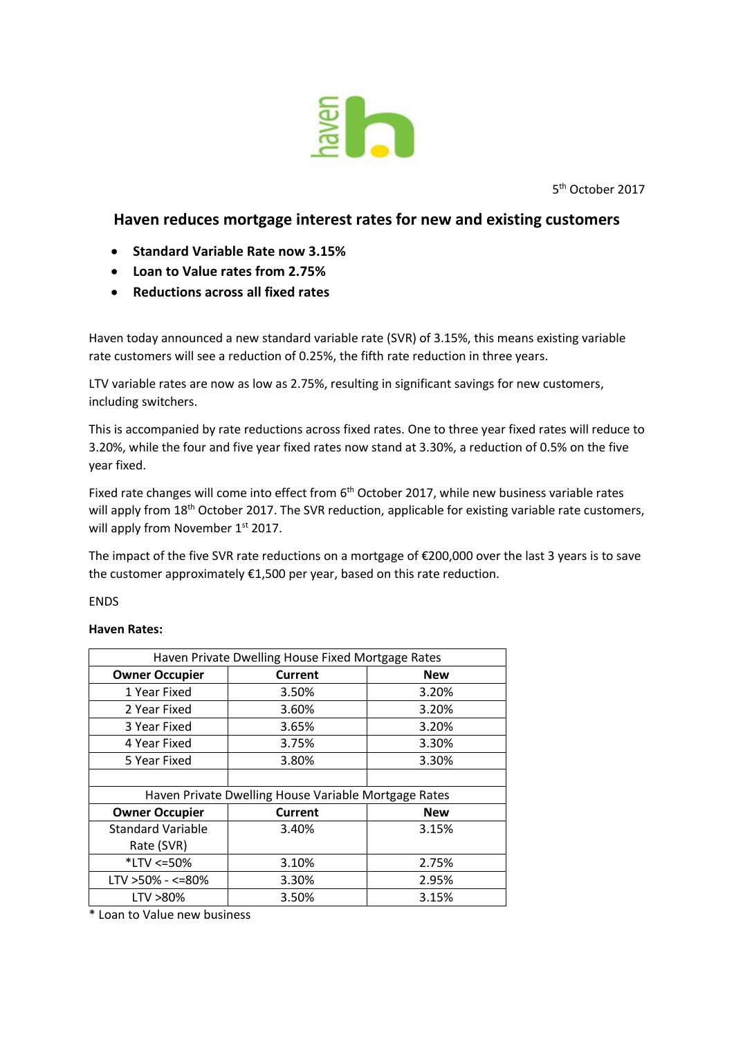

5 th October 2017

## **Haven reduces mortgage interest rates for new and existing customers**

- **Standard Variable Rate now 3.15%**
- **Loan to Value rates from 2.75%**
- **Reductions across all fixed rates**

Haven today announced a new standard variable rate (SVR) of 3.15%, this means existing variable rate customers will see a reduction of 0.25%, the fifth rate reduction in three years.

LTV variable rates are now as low as 2.75%, resulting in significant savings for new customers, including switchers.

This is accompanied by rate reductions across fixed rates. One to three year fixed rates will reduce to 3.20%, while the four and five year fixed rates now stand at 3.30%, a reduction of 0.5% on the five year fixed.

Fixed rate changes will come into effect from  $6<sup>th</sup>$  October 2017, while new business variable rates will apply from 18<sup>th</sup> October 2017. The SVR reduction, applicable for existing variable rate customers, will apply from November 1<sup>st</sup> 2017.

The impact of the five SVR rate reductions on a mortgage of €200,000 over the last 3 years is to save the customer approximately €1,500 per year, based on this rate reduction.

**FNDS** 

## **Haven Rates:**

| Haven Private Dwelling House Fixed Mortgage Rates    |                |            |
|------------------------------------------------------|----------------|------------|
| <b>Owner Occupier</b>                                | <b>Current</b> | <b>New</b> |
| 1 Year Fixed                                         | 3.50%          | 3.20%      |
| 2 Year Fixed                                         | 3.60%          | 3.20%      |
| 3 Year Fixed                                         | 3.65%          | 3.20%      |
| 4 Year Fixed                                         | 3.75%          | 3.30%      |
| 5 Year Fixed                                         | 3.80%          | 3.30%      |
|                                                      |                |            |
| Haven Private Dwelling House Variable Mortgage Rates |                |            |
| <b>Owner Occupier</b>                                | <b>Current</b> | <b>New</b> |
| <b>Standard Variable</b>                             | 3.40%          | 3.15%      |
| Rate (SVR)                                           |                |            |
| *LTV <= 50%                                          | 3.10%          | 2.75%      |
| $LTV > 50\% - < = 80\%$                              | 3.30%          | 2.95%      |
| LTV >80%                                             | 3.50%          | 3.15%      |

\* Loan to Value new business